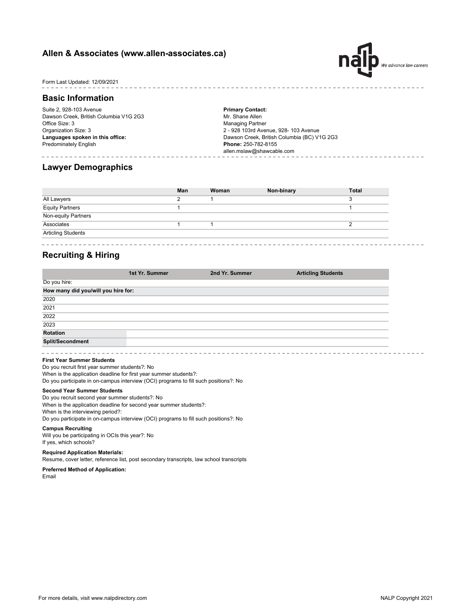## **Allen & Associates (www.allen-associates.ca)**



## Form Last Updated: 12/09/2021

### **Basic Information**

Suite 2, 928-103 Avenue Dawson Creek, British Columbia V1G 2G3 Office Size: 3 Organization Size: 3 **Languages spoken in this office:** Predominately English

**Primary Contact:** Mr. Shane Allen Managing Partner 2 - 928 103rd Avenue, 928- 103 Avenue Dawson Creek, British Columbia (BC) V1G 2G3 **Phone:** 250-782-8155 allen.mslaw@shawcable.com

## **Lawyer Demographics**

|                           | Man | Woman | Non-binary | <b>Total</b> |
|---------------------------|-----|-------|------------|--------------|
| All Lawyers               | റ   |       |            | 3            |
| <b>Equity Partners</b>    |     |       |            |              |
| Non-equity Partners       |     |       |            |              |
| Associates                |     |       |            |              |
| <b>Articling Students</b> |     |       |            |              |

# **Recruiting & Hiring**

| 1st Yr. Summer | 2nd Yr. Summer                      | <b>Articling Students</b> |  |
|----------------|-------------------------------------|---------------------------|--|
|                |                                     |                           |  |
|                |                                     |                           |  |
|                |                                     |                           |  |
|                |                                     |                           |  |
|                |                                     |                           |  |
|                |                                     |                           |  |
|                |                                     |                           |  |
|                |                                     |                           |  |
|                | How many did you/will you hire for: |                           |  |

#### **First Year Summer Students**

When is the application deadline for first year summer students?: Do you participate in on-campus interview (OCI) programs to fill such positions?: No Do you recruit first year summer students?: No

## **Second Year Summer Students**

When is the application deadline for second year summer students?: When is the interviewing period?: Do you participate in on-campus interview (OCI) programs to fill such positions?: No Do you recruit second year summer students?: No

#### **Campus Recruiting**

Will you be participating in OCIs this year?: No If yes, which schools?

#### **Required Application Materials:**

Resume, cover letter, reference list, post secondary transcripts, law school transcripts

#### **Preferred Method of Application:** Email